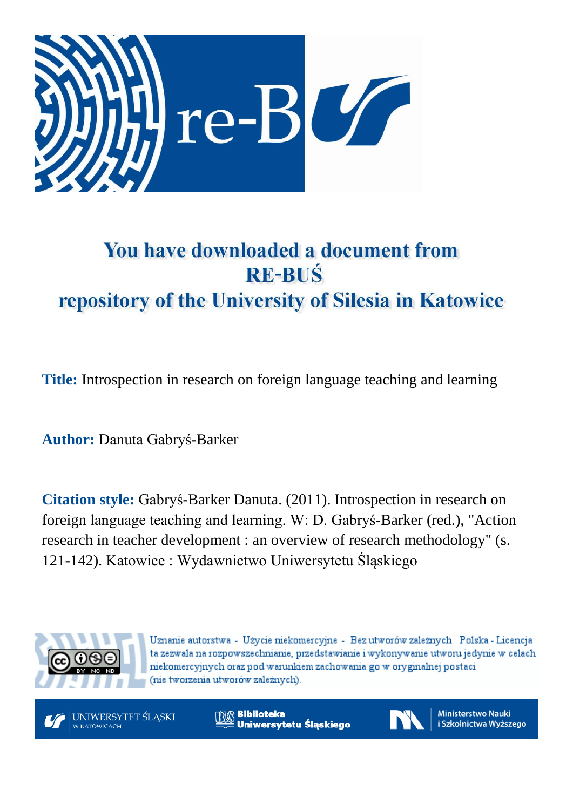

# You have downloaded a document from **RE-BUŚ** repository of the University of Silesia in Katowice

**Title:** Introspection in research on foreign language teaching and learning

**Author:** Danuta Gabryś-Barker

**Citation style:** Gabryś-Barker Danuta. (2011). Introspection in research on foreign language teaching and learning. W: D. Gabryś-Barker (red.), "Action research in teacher development : an overview of research methodology" (s. 121-142). Katowice : Wydawnictwo Uniwersytetu Śląskiego



Uznanie autorstwa - Użycie niekomercyjne - Bez utworów zależnych Polska - Licencja ta zezwala na rozpowszechnianie, przedstawianie i wykonywanie utworu jedynie w celach niekomercyjnych oraz pod warunkiem zachowania go w oryginalnej postaci (nie tworzenia utworów zależnych).



**Biblioteka** Uniwersytetu Śląskiego



**Ministerstwo Nauki** i Szkolnictwa Wyższego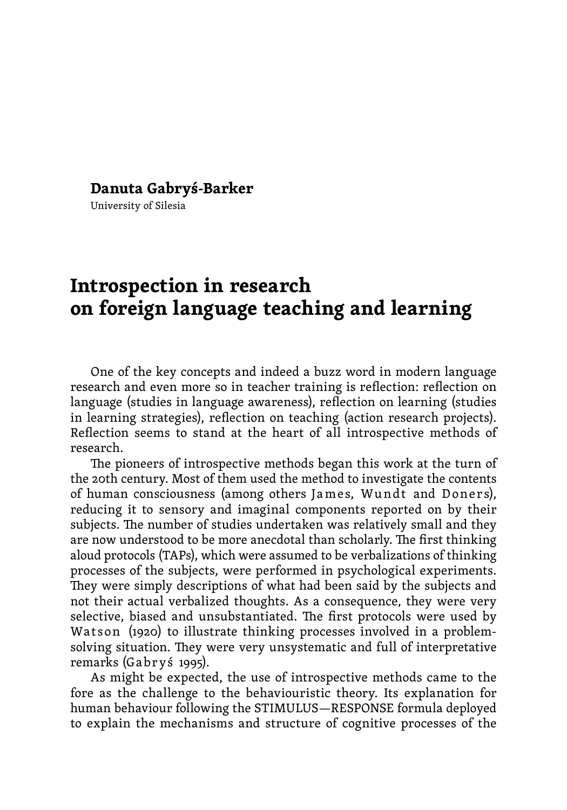#### **Danuta Gabryś-Barker**

University of Silesia

# **Introspection in research on foreign language teaching and learning**

One of the key concepts and indeed a buzz word in modern language research and even more so in teacher training is reflection: reflection on language (studies in language awareness), reflection on learning (studies in learning strategies), reflection on teaching (action research projects). Reflection seems to stand at the heart of all introspective methods of research.

The pioneers of introspective methods began this work at the turn of the 20th century. Most of them used the method to investigate the contents of human consciousness (among others James, Wundt and Doners), reducing it to sensory and imaginal components reported on by their subjects. The number of studies undertaken was relatively small and they are now understood to be more anecdotal than scholarly. The first thinking aloud protocols (TAPs), which were assumed to be verbalizations of thinking processes of the subjects, were performed in psychological experiments. They were simply descriptions of what had been said by the subjects and not their actual verbalized thoughts. As a consequence, they were very selective, biased and unsubstantiated. The first protocols were used by Watson (1920) to illustrate thinking processes involved in a problemsolving situation. They were very unsystematic and full of interpretative remarks (Gabryś 1995).

As might be expected, the use of introspective methods came to the fore as the challenge to the behaviouristic theory. Its explanation for human behaviour following the STIMULUS—RESPONSE formula deployed to explain the mechanisms and structure of cognitive processes of the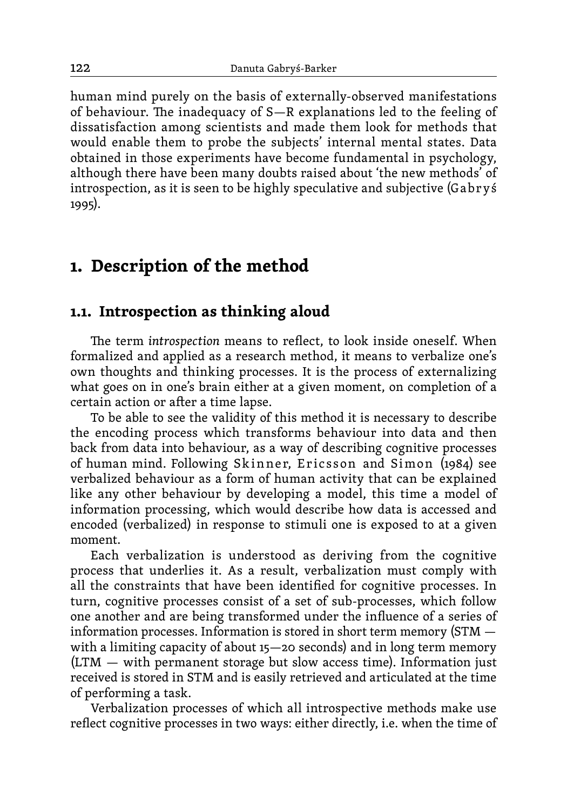human mind purely on the basis of externally-observed manifestations of behaviour. The inadequacy of S—R explanations led to the feeling of dissatisfaction among scientists and made them look for methods that would enable them to probe the subjects' internal mental states. Data obtained in those experiments have become fundamental in psychology, although there have been many doubts raised about 'the new methods' of introspection, as it is seen to be highly speculative and subjective (Gabrys) 1995).

## **1. Description of the method**

#### **1.1. Introspection as thinking aloud**

The term *introspection* means to reflect, to look inside oneself. When formalized and applied as a research method, it means to verbalize one's own thoughts and thinking processes. It is the process of externalizing what goes on in one's brain either at a given moment, on completion of a certain action or after a time lapse.

To be able to see the validity of this method it is necessary to describe the encoding process which transforms behaviour into data and then back from data into behaviour, as a way of describing cognitive processes of human mind. Following Skinner, Ericsson and Simon (1984) see verbalized behaviour as a form of human activity that can be explained like any other behaviour by developing a model, this time a model of information processing, which would describe how data is accessed and encoded (verbalized) in response to stimuli one is exposed to at a given moment.

Each verbalization is understood as deriving from the cognitive process that underlies it. As a result, verbalization must comply with all the constraints that have been identified for cognitive processes. In turn, cognitive processes consist of a set of sub-processes, which follow one another and are being transformed under the influence of a series of information processes. Information is stored in short term memory (STM with a limiting capacity of about 15—20 seconds) and in long term memory (LTM — with permanent storage but slow access time). Information just received is stored in STM and is easily retrieved and articulated at the time of performing a task.

Verbalization processes of which all introspective methods make use reflect cognitive processes in two ways: either directly, i.e. when the time of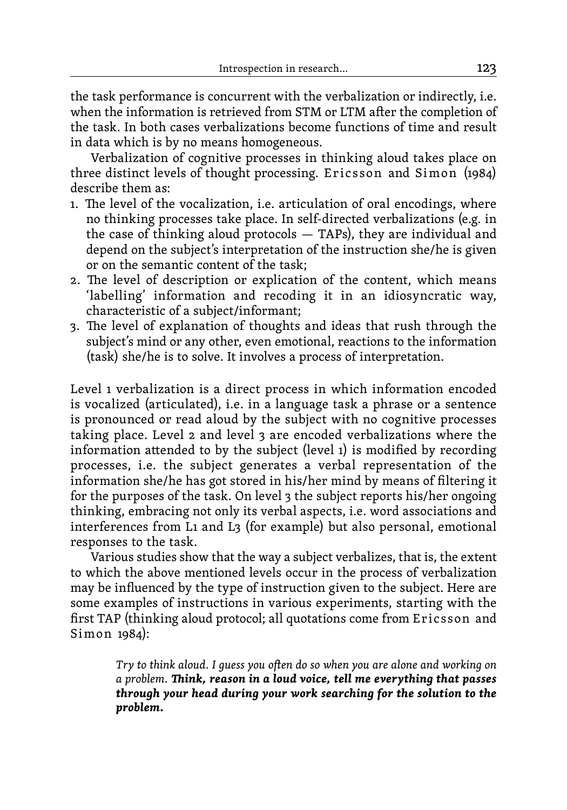the task performance is concurrent with the verbalization or indirectly, i.e. when the information is retrieved from STM or LTM after the completion of the task. In both cases verbalizations become functions of time and result in data which is by no means homogeneous.

Verbalization of cognitive processes in thinking aloud takes place on three distinct levels of thought processing. Ericsson and Simon (1984) describe them as:

- 1. The level of the vocalization, i.e. articulation of oral encodings, where no thinking processes take place. In self-directed verbalizations (e.g. in the case of thinking aloud protocols — TAPs), they are individual and depend on the subject's interpretation of the instruction she/he is given or on the semantic content of the task;
- 2. The level of description or explication of the content, which means 'labelling' information and recoding it in an idiosyncratic way, characteristic of a subject/informant;
- 3. The level of explanation of thoughts and ideas that rush through the subject's mind or any other, even emotional, reactions to the information (task) she/he is to solve. It involves a process of interpretation.

Level 1 verbalization is a direct process in which information encoded is vocalized (articulated), i.e. in a language task a phrase or a sentence is pronounced or read aloud by the subject with no cognitive processes taking place. Level 2 and level 3 are encoded verbalizations where the information attended to by the subject (level 1) is modified by recording processes, i.e. the subject generates a verbal representation of the information she/he has got stored in his/her mind by means of filtering it for the purposes of the task. On level 3 the subject reports his/her ongoing thinking, embracing not only its verbal aspects, i.e. word associations and interferences from L1 and L3 (for example) but also personal, emotional responses to the task.

Various studies show that the way a subject verbalizes, that is, the extent to which the above mentioned levels occur in the process of verbalization may be influenced by the type of instruction given to the subject. Here are some examples of instructions in various experiments, starting with the first TAP (thinking aloud protocol; all quotations come from Er ic sson and Simon 1984):

> *Try to think aloud. I guess you often do so when you are alone and working on a problem. Think, reason in a loud voice, tell me everything that passes through your head during your work searching for the solution to the problem.*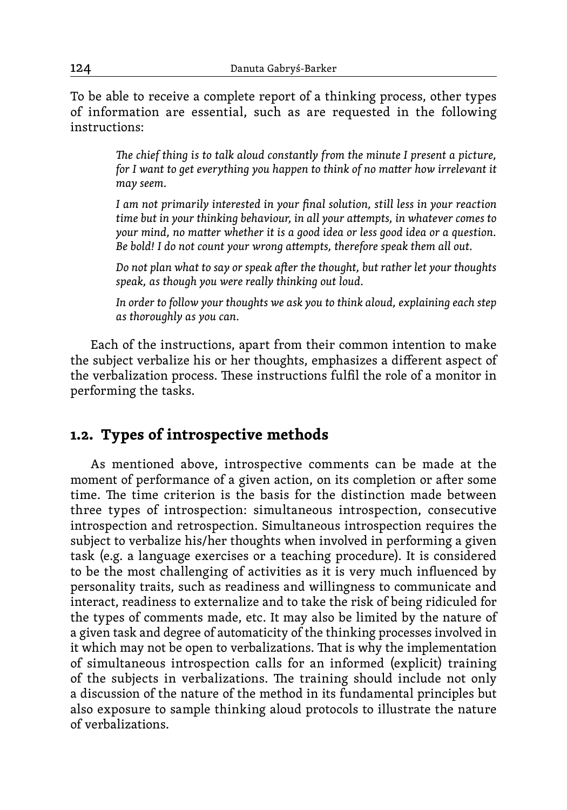To be able to receive a complete report of a thinking process, other types of information are essential, such as are requested in the following instructions:

> *The chief thing is to talk aloud constantly from the minute I present a picture, for I want to get everything you happen to think of no matter how irrelevant it may seem.*

> *I am not primarily interested in your final solution, still less in your reaction time but in your thinking behaviour, in all your attempts, in whatever comes to your mind, no matter whether it is a good idea or less good idea or a question. Be bold! I do not count your wrong attempts, therefore speak them all out.*

> *Do not plan what to say or speak after the thought, but rather let your thoughts speak, as though you were really thinking out loud.*

> *In order to follow your thoughts we ask you to think aloud, explaining each step as thoroughly as you can.*

Each of the instructions, apart from their common intention to make the subject verbalize his or her thoughts, emphasizes a different aspect of the verbalization process. These instructions fulfil the role of a monitor in performing the tasks.

#### **1.2. Types of introspective methods**

As mentioned above, introspective comments can be made at the moment of performance of a given action, on its completion or after some time. The time criterion is the basis for the distinction made between three types of introspection: simultaneous introspection, consecutive introspection and retrospection. Simultaneous introspection requires the subject to verbalize his/her thoughts when involved in performing a given task (e.g. a language exercises or a teaching procedure). It is considered to be the most challenging of activities as it is very much influenced by personality traits, such as readiness and willingness to communicate and interact, readiness to externalize and to take the risk of being ridiculed for the types of comments made, etc. It may also be limited by the nature of a given task and degree of automaticity of the thinking processes involved in it which may not be open to verbalizations. That is why the implementation of simultaneous introspection calls for an informed (explicit) training of the subjects in verbalizations. The training should include not only a discussion of the nature of the method in its fundamental principles but also exposure to sample thinking aloud protocols to illustrate the nature of verbalizations.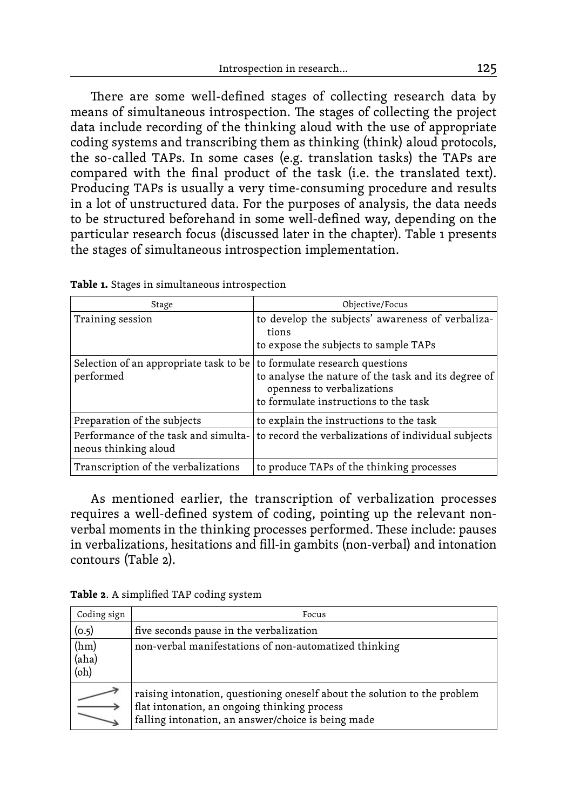There are some well-defined stages of collecting research data by means of simultaneous introspection. The stages of collecting the project data include recording of the thinking aloud with the use of appropriate coding systems and transcribing them as thinking (think) aloud protocols, the so-called TAPs. In some cases (e.g. translation tasks) the TAPs are compared with the final product of the task (i.e. the translated text). Producing TAPs is usually a very time-consuming procedure and results in a lot of unstructured data. For the purposes of analysis, the data needs to be structured beforehand in some well-defined way, depending on the particular research focus (discussed later in the chapter). Table 1 presents the stages of simultaneous introspection implementation.

| Stage                                                        | Objective/Focus                                                                                                                                               |  |  |  |
|--------------------------------------------------------------|---------------------------------------------------------------------------------------------------------------------------------------------------------------|--|--|--|
| Training session                                             | to develop the subjects' awareness of verbaliza-<br>tions<br>to expose the subjects to sample TAPs                                                            |  |  |  |
| Selection of an appropriate task to be<br>performed          | to formulate research questions<br>to analyse the nature of the task and its degree of<br>openness to verbalizations<br>to formulate instructions to the task |  |  |  |
| Preparation of the subjects                                  | to explain the instructions to the task                                                                                                                       |  |  |  |
| Performance of the task and simulta-<br>neous thinking aloud | to record the verbalizations of individual subjects                                                                                                           |  |  |  |
| Transcription of the verbalizations                          | to produce TAPs of the thinking processes                                                                                                                     |  |  |  |

**Table 1.** Stages in simultaneous introspection

As mentioned earlier, the transcription of verbalization processes requires a well-defined system of coding, pointing up the relevant nonverbal moments in the thinking processes performed. These include: pauses in verbalizations, hesitations and fill-in gambits (non-verbal) and intonation contours (Table 2).

**Table 2**. A simplified TAP coding system

| Coding sign           | Focus                                                                                                                                                                           |  |  |  |  |  |
|-----------------------|---------------------------------------------------------------------------------------------------------------------------------------------------------------------------------|--|--|--|--|--|
| (0.5)                 | five seconds pause in the verbalization                                                                                                                                         |  |  |  |  |  |
| (hm)<br>(aha)<br>(oh) | non-verbal manifestations of non-automatized thinking                                                                                                                           |  |  |  |  |  |
|                       | raising intonation, questioning oneself about the solution to the problem<br>flat intonation, an ongoing thinking process<br>falling intonation, an answer/choice is being made |  |  |  |  |  |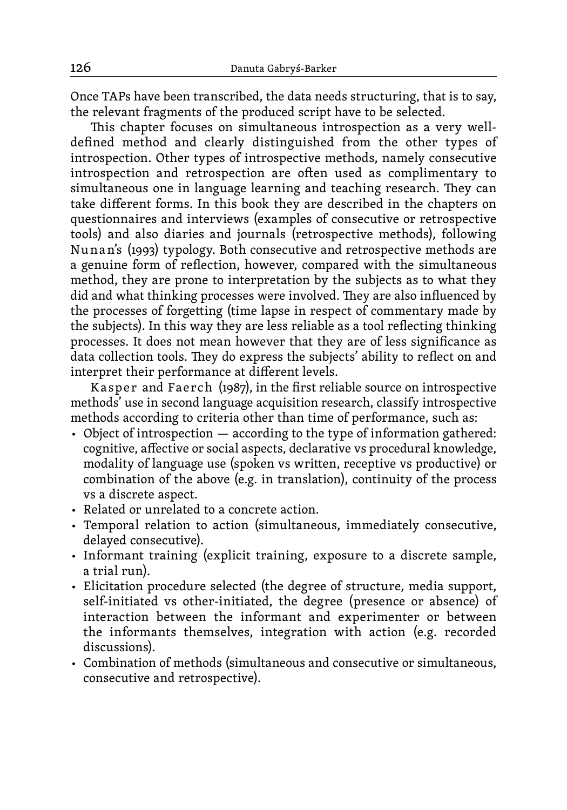Once TAPs have been transcribed, the data needs structuring, that is to say, the relevant fragments of the produced script have to be selected.

This chapter focuses on simultaneous introspection as a very welldefined method and clearly distinguished from the other types of introspection. Other types of introspective methods, namely consecutive introspection and retrospection are often used as complimentary to simultaneous one in language learning and teaching research. They can take different forms. In this book they are described in the chapters on questionnaires and interviews (examples of consecutive or retrospective tools) and also diaries and journals (retrospective methods), following Nu nan's (1993) typology. Both consecutive and retrospective methods are a genuine form of reflection, however, compared with the simultaneous method, they are prone to interpretation by the subjects as to what they did and what thinking processes were involved. They are also influenced by the processes of forgetting (time lapse in respect of commentary made by the subjects). In this way they are less reliable as a tool reflecting thinking processes. It does not mean however that they are of less significance as data collection tools. They do express the subjects' ability to reflect on and interpret their performance at different levels.

Kasper and Faerch  $(1987)$ , in the first reliable source on introspective methods' use in second language acquisition research, classify introspective methods according to criteria other than time of performance, such as:

- Object of introspection according to the type of information gathered: cognitive, affective or social aspects, declarative vs procedural knowledge, modality of language use (spoken vs written, receptive vs productive) or combination of the above (e.g. in translation), continuity of the process vs a discrete aspect.
- Related or unrelated to a concrete action.
- Temporal relation to action (simultaneous, immediately consecutive, delayed consecutive).
- Informant training (explicit training, exposure to a discrete sample, a trial run).
- Elicitation procedure selected (the degree of structure, media support, self-initiated vs other-initiated, the degree (presence or absence) of interaction between the informant and experimenter or between the informants themselves, integration with action (e.g. recorded discussions).
- Combination of methods (simultaneous and consecutive or simultaneous, consecutive and retrospective).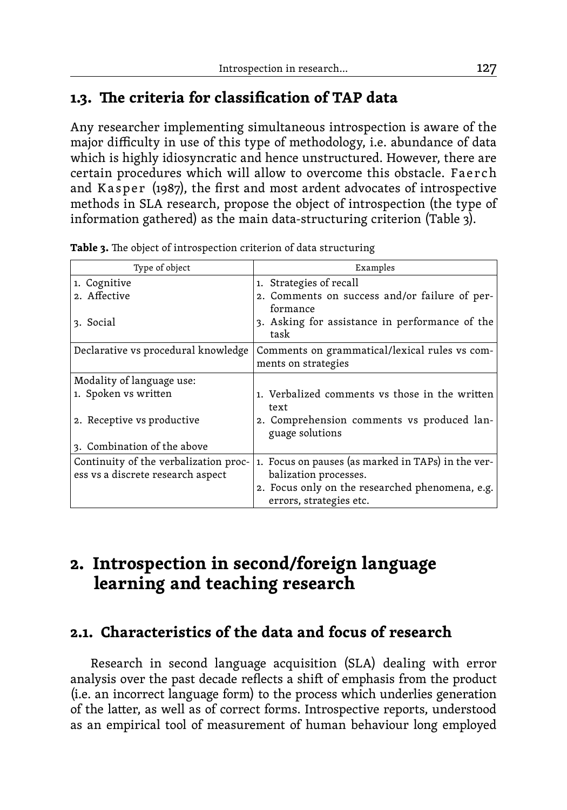## **1.3. The criteria for classification of TAP data**

Any researcher implementing simultaneous introspection is aware of the major difficulty in use of this type of methodology, i.e. abundance of data which is highly idiosyncratic and hence unstructured. However, there are certain procedures which will allow to overcome this obstacle. Faerch and Kasper (1987), the first and most ardent advocates of introspective methods in SLA research, propose the object of introspection (the type of information gathered) as the main data-structuring criterion (Table 3).

| Type of object                        | Examples                                           |  |  |  |  |
|---------------------------------------|----------------------------------------------------|--|--|--|--|
| 1. Cognitive                          | 1. Strategies of recall                            |  |  |  |  |
| 2. Affective                          | 2. Comments on success and/or failure of per-      |  |  |  |  |
|                                       | formance                                           |  |  |  |  |
| 3. Social                             | 3. Asking for assistance in performance of the     |  |  |  |  |
|                                       | task                                               |  |  |  |  |
| Declarative vs procedural knowledge   | Comments on grammatical/lexical rules vs com-      |  |  |  |  |
|                                       | ments on strategies                                |  |  |  |  |
| Modality of language use:             |                                                    |  |  |  |  |
| 1. Spoken vs written                  | 1. Verbalized comments vs those in the written     |  |  |  |  |
|                                       | text                                               |  |  |  |  |
| 2. Receptive vs productive            | 2. Comprehension comments vs produced lan-         |  |  |  |  |
|                                       | guage solutions                                    |  |  |  |  |
| 3. Combination of the above           |                                                    |  |  |  |  |
| Continuity of the verbalization proc- | 1. Focus on pauses (as marked in TAPs) in the ver- |  |  |  |  |
| ess vs a discrete research aspect     | balization processes.                              |  |  |  |  |
|                                       | 2. Focus only on the researched phenomena, e.g.    |  |  |  |  |
|                                       | errors, strategies etc.                            |  |  |  |  |

**Table 3.** The object of introspection criterion of data structuring

# **2. Introspection in second/foreign language learning and teaching research**

### **2.1. Characteristics of the data and focus of research**

Research in second language acquisition (SLA) dealing with error analysis over the past decade reflects a shift of emphasis from the product (i.e. an incorrect language form) to the process which underlies generation of the latter, as well as of correct forms. Introspective reports, understood as an empirical tool of measurement of human behaviour long employed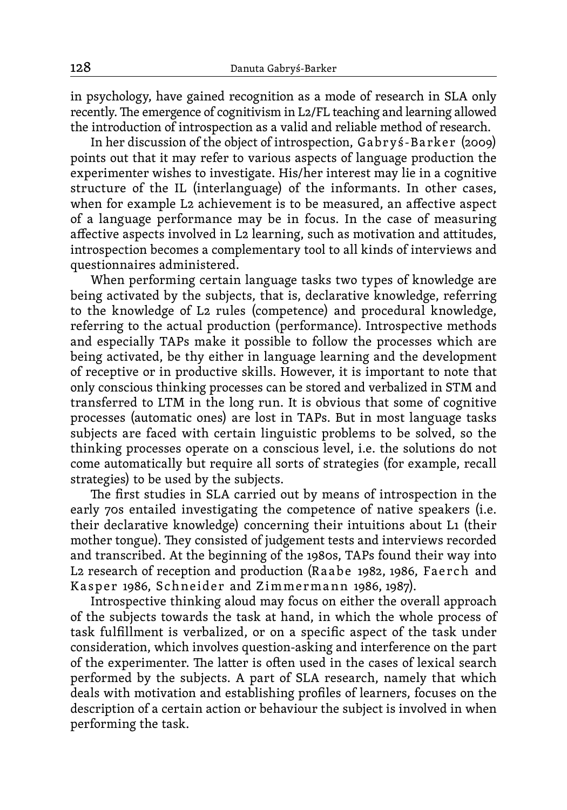in psychology, have gained recognition as a mode of research in SLA only recently. The emergence of cognitivism in L2/FL teaching and learning allowed the introduction of introspection as a valid and reliable method of research.

In her discussion of the object of introspection, Gabr yś-Ba rker (2009) points out that it may refer to various aspects of language production the experimenter wishes to investigate. His/her interest may lie in a cognitive structure of the IL (interlanguage) of the informants. In other cases, when for example L2 achievement is to be measured, an affective aspect of a language performance may be in focus. In the case of measuring affective aspects involved in L2 learning, such as motivation and attitudes, introspection becomes a complementary tool to all kinds of interviews and questionnaires administered.

When performing certain language tasks two types of knowledge are being activated by the subjects, that is, declarative knowledge, referring to the knowledge of L2 rules (competence) and procedural knowledge, referring to the actual production (performance). Introspective methods and especially TAPs make it possible to follow the processes which are being activated, be thy either in language learning and the development of receptive or in productive skills. However, it is important to note that only conscious thinking processes can be stored and verbalized in STM and transferred to LTM in the long run. It is obvious that some of cognitive processes (automatic ones) are lost in TAPs. But in most language tasks subjects are faced with certain linguistic problems to be solved, so the thinking processes operate on a conscious level, i.e. the solutions do not come automatically but require all sorts of strategies (for example, recall strategies) to be used by the subjects.

The first studies in SLA carried out by means of introspection in the early 70s entailed investigating the competence of native speakers (i.e. their declarative knowledge) concerning their intuitions about L1 (their mother tongue). They consisted of judgement tests and interviews recorded and transcribed. At the beginning of the 1980s, TAPs found their way into L<sub>2</sub> research of reception and production (Raabe 1982, 1986, Faerch and Kasper 1986, Schneider and Zimmermann 1986, 1987).

Introspective thinking aloud may focus on either the overall approach of the subjects towards the task at hand, in which the whole process of task fulfillment is verbalized, or on a specific aspect of the task under consideration, which involves question-asking and interference on the part of the experimenter. The latter is often used in the cases of lexical search performed by the subjects. A part of SLA research, namely that which deals with motivation and establishing profiles of learners, focuses on the description of a certain action or behaviour the subject is involved in when performing the task.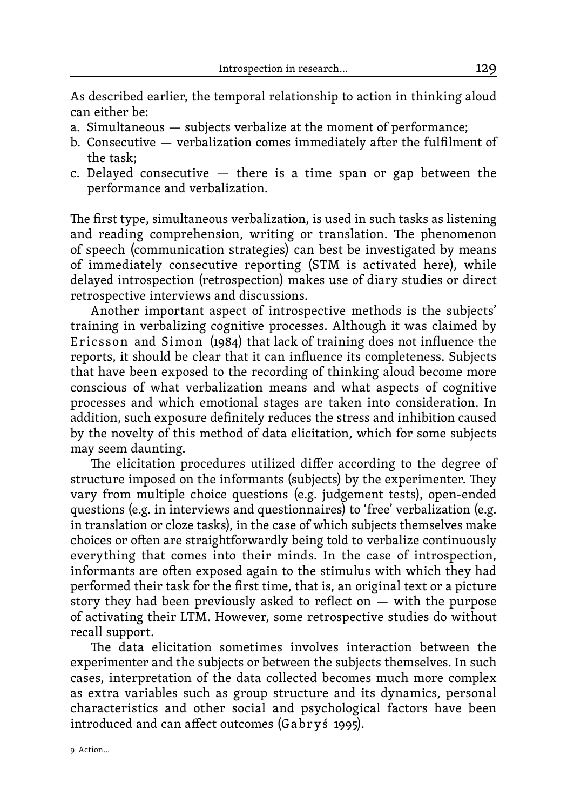As described earlier, the temporal relationship to action in thinking aloud can either be:

- a. Simultaneous subjects verbalize at the moment of performance;
- b. Consecutive verbalization comes immediately after the fulfilment of the task;
- c. Delayed consecutive there is a time span or gap between the performance and verbalization.

The first type, simultaneous verbalization, is used in such tasks as listening and reading comprehension, writing or translation. The phenomenon of speech (communication strategies) can best be investigated by means of immediately consecutive reporting (STM is activated here), while delayed introspection (retrospection) makes use of diary studies or direct retrospective interviews and discussions.

Another important aspect of introspective methods is the subjects' training in verbalizing cognitive processes. Although it was claimed by Ericsson and Simon (1984) that lack of training does not influence the reports, it should be clear that it can influence its completeness. Subjects that have been exposed to the recording of thinking aloud become more conscious of what verbalization means and what aspects of cognitive processes and which emotional stages are taken into consideration. In addition, such exposure definitely reduces the stress and inhibition caused by the novelty of this method of data elicitation, which for some subjects may seem daunting.

The elicitation procedures utilized differ according to the degree of structure imposed on the informants (subjects) by the experimenter. They vary from multiple choice questions (e.g. judgement tests), open-ended questions (e.g. in interviews and questionnaires) to 'free' verbalization (e.g. in translation or cloze tasks), in the case of which subjects themselves make choices or often are straightforwardly being told to verbalize continuously everything that comes into their minds. In the case of introspection, informants are often exposed again to the stimulus with which they had performed their task for the first time, that is, an original text or a picture story they had been previously asked to reflect on  $-$  with the purpose of activating their LTM. However, some retrospective studies do without recall support.

The data elicitation sometimes involves interaction between the experimenter and the subjects or between the subjects themselves. In such cases, interpretation of the data collected becomes much more complex as extra variables such as group structure and its dynamics, personal characteristics and other social and psychological factors have been introduced and can affect outcomes (Ga br yś 1995).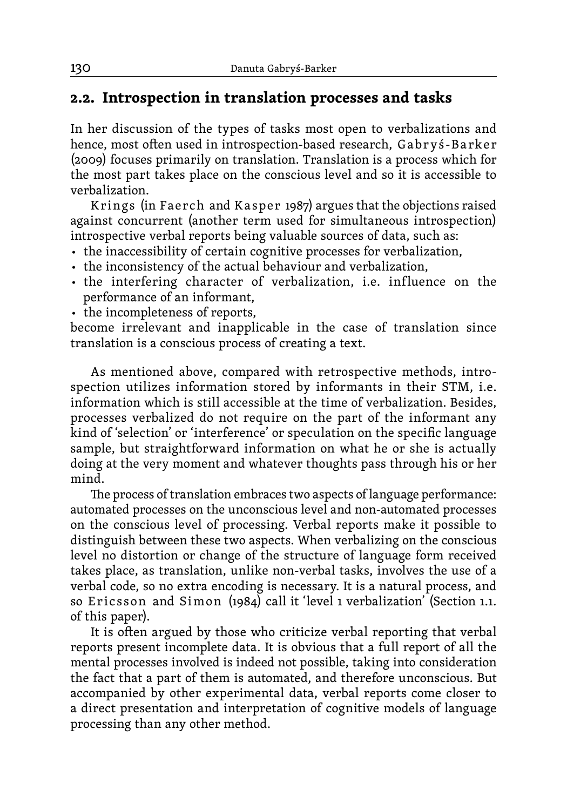#### **2.2. Introspection in translation processes and tasks**

In her discussion of the types of tasks most open to verbalizations and hence, most often used in introspection-based research, Gabryś-Barker (2009) focuses primarily on translation. Translation is a process which for the most part takes place on the conscious level and so it is accessible to verbalization.

Krings (in Faerch and Kasper 1987) argues that the objections raised against concurrent (another term used for simultaneous introspection) introspective verbal reports being valuable sources of data, such as:

- the inaccessibility of certain cognitive processes for verbalization,
- the inconsistency of the actual behaviour and verbalization,
- the interfering character of verbalization, i.e. influence on the performance of an informant,
- the incompleteness of reports,

become irrelevant and inapplicable in the case of translation since translation is a conscious process of creating a text.

As mentioned above, compared with retrospective methods, introspection utilizes information stored by informants in their STM, i.e. information which is still accessible at the time of verbalization. Besides, processes verbalized do not require on the part of the informant any kind of 'selection' or 'interference' or speculation on the specific language sample, but straightforward information on what he or she is actually doing at the very moment and whatever thoughts pass through his or her mind.

The process of translation embraces two aspects of language performance: automated processes on the unconscious level and non-automated processes on the conscious level of processing. Verbal reports make it possible to distinguish between these two aspects. When verbalizing on the conscious level no distortion or change of the structure of language form received takes place, as translation, unlike non-verbal tasks, involves the use of a verbal code, so no extra encoding is necessary. It is a natural process, and so Ericsson and Simon (1984) call it 'level 1 verbalization' (Section 1.1. of this paper).

It is often argued by those who criticize verbal reporting that verbal reports present incomplete data. It is obvious that a full report of all the mental processes involved is indeed not possible, taking into consideration the fact that a part of them is automated, and therefore unconscious. But accompanied by other experimental data, verbal reports come closer to a direct presentation and interpretation of cognitive models of language processing than any other method.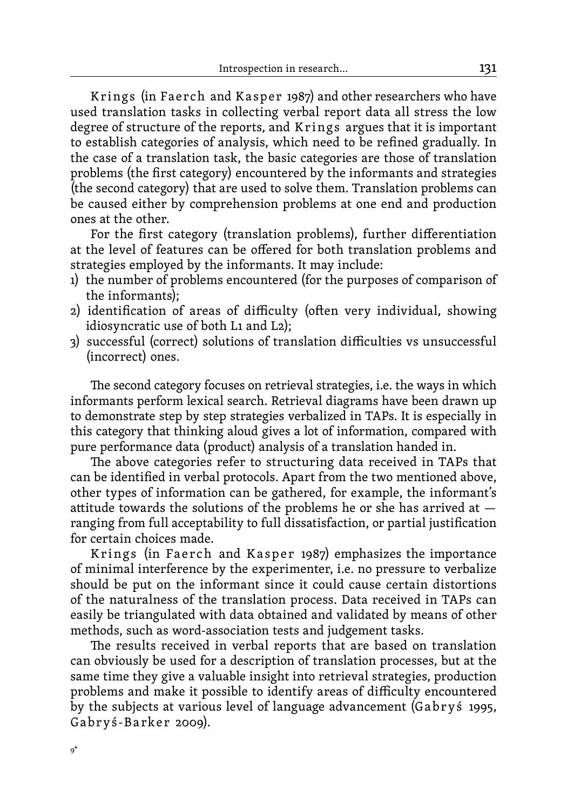Krings (in Faerch and Kasper 1987) and other researchers who have used translation tasks in collecting verbal report data all stress the low degree of structure of the reports, and Krings argues that it is important to establish categories of analysis, which need to be refined gradually. In the case of a translation task, the basic categories are those of translation problems (the first category) encountered by the informants and strategies (the second category) that are used to solve them. Translation problems can be caused either by comprehension problems at one end and production ones at the other.

For the first category (translation problems), further differentiation at the level of features can be offered for both translation problems and strategies employed by the informants. It may include:

- 1) the number of problems encountered (for the purposes of comparison of the informants);
- 2) identification of areas of difficulty (often very individual, showing idiosyncratic use of both L1 and L2);
- 3) successful (correct) solutions of translation difficulties vs unsuccessful (incorrect) ones.

The second category focuses on retrieval strategies, i.e. the ways in which informants perform lexical search. Retrieval diagrams have been drawn up to demonstrate step by step strategies verbalized in TAPs. It is especially in this category that thinking aloud gives a lot of information, compared with pure performance data (product) analysis of a translation handed in.

The above categories refer to structuring data received in TAPs that can be identified in verbal protocols. Apart from the two mentioned above, other types of information can be gathered, for example, the informant's attitude towards the solutions of the problems he or she has arrived at ranging from full acceptability to full dissatisfaction, or partial justification for certain choices made.

Krings (in Faerch and Kasper 1987) emphasizes the importance of minimal interference by the experimenter, i.e. no pressure to verbalize should be put on the informant since it could cause certain distortions of the naturalness of the translation process. Data received in TAPs can easily be triangulated with data obtained and validated by means of other methods, such as word-association tests and judgement tasks.

The results received in verbal reports that are based on translation can obviously be used for a description of translation processes, but at the same time they give a valuable insight into retrieval strategies, production problems and make it possible to identify areas of difficulty encountered by the subjects at various level of language advancement (Gabryś 1995, Gabryś-Barker 2009).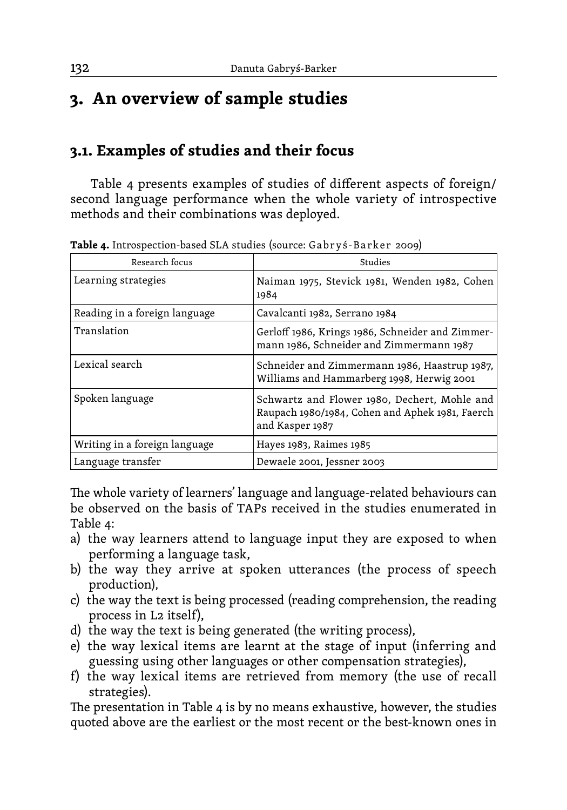# **3. An overview of sample studies**

#### **3.1. Examples of studies and their focus**

Table 4 presents examples of studies of different aspects of foreign/ second language performance when the whole variety of introspective methods and their combinations was deployed.

| <b>A WAS TO INCLUDE CLIVILY AND CALLED TO ALL AND A CONSIDER</b> TO DULING 1 2007/ |                                                                                                                    |  |  |  |
|------------------------------------------------------------------------------------|--------------------------------------------------------------------------------------------------------------------|--|--|--|
| Research focus                                                                     | Studies                                                                                                            |  |  |  |
| Learning strategies                                                                | Naiman 1975, Stevick 1981, Wenden 1982, Cohen<br>1984                                                              |  |  |  |
| Reading in a foreign language                                                      | Cavalcanti 1982, Serrano 1984                                                                                      |  |  |  |
| Translation                                                                        | Gerloff 1986, Krings 1986, Schneider and Zimmer-<br>mann 1986, Schneider and Zimmermann 1987                       |  |  |  |
| Lexical search                                                                     | Schneider and Zimmermann 1986, Haastrup 1987,<br>Williams and Hammarberg 1998, Herwig 2001                         |  |  |  |
| Spoken language                                                                    | Schwartz and Flower 1980, Dechert, Mohle and<br>Raupach 1980/1984, Cohen and Aphek 1981, Faerch<br>and Kasper 1987 |  |  |  |
| Writing in a foreign language                                                      | Hayes 1983, Raimes 1985                                                                                            |  |  |  |
| Language transfer                                                                  | Dewaele 2001, Jessner 2003                                                                                         |  |  |  |

**Table 4.** Introspection-based SLA studies (source: Gabry §-Barker 2009)

The whole variety of learners' language and language-related behaviours can be observed on the basis of TAPs received in the studies enumerated in Table 4:

- a) the way learners attend to language input they are exposed to when performing a language task,
- b) the way they arrive at spoken utterances (the process of speech production),
- c) the way the text is being processed (reading comprehension, the reading process in L2 itself),
- d) the way the text is being generated (the writing process),
- e) the way lexical items are learnt at the stage of input (inferring and guessing using other languages or other compensation strategies),
- f) the way lexical items are retrieved from memory (the use of recall strategies).

The presentation in Table 4 is by no means exhaustive, however, the studies quoted above are the earliest or the most recent or the best-known ones in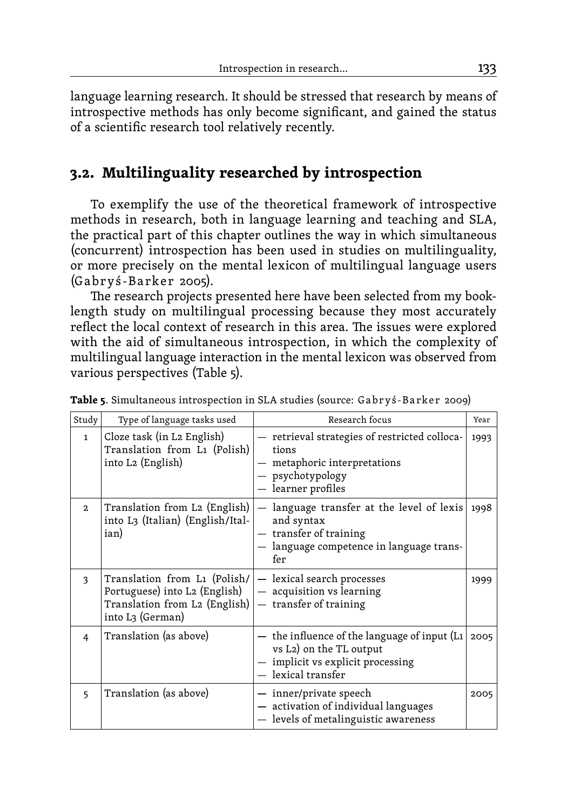language learning research. It should be stressed that research by means of introspective methods has only become significant, and gained the status of a scientific research tool relatively recently.

#### **3.2. Multilinguality researched by introspection**

To exemplify the use of the theoretical framework of introspective methods in research, both in language learning and teaching and SLA, the practical part of this chapter outlines the way in which simultaneous (concurrent) introspection has been used in studies on multilinguality, or more precisely on the mental lexicon of multilingual language users (Ga br yś-B a rke r 2005).

The research projects presented here have been selected from my booklength study on multilingual processing because they most accurately reflect the local context of research in this area. The issues were explored with the aid of simultaneous introspection, in which the complexity of multilingual language interaction in the mental lexicon was observed from various perspectives (Table 5).

| Study        | Type of language tasks used                                                                                        | Research focus                                                                                                                     |      |  |  |
|--------------|--------------------------------------------------------------------------------------------------------------------|------------------------------------------------------------------------------------------------------------------------------------|------|--|--|
| $\mathbf{1}$ | Cloze task (in L2 English)<br>Translation from L1 (Polish)<br>into L2 (English)                                    | — retrieval strategies of restricted colloca-<br>tions<br>metaphoric interpretations<br>- psychotypology<br>$-$ learner profiles   |      |  |  |
| $\mathbf{2}$ | Translation from L2 (English)<br>into L3 (Italian) (English/Ital-<br>ian)                                          | language transfer at the level of lexis<br>and syntax<br>- transfer of training<br>- language competence in language trans-<br>fer | 1998 |  |  |
| 3            | Translation from L1 (Polish/<br>Portuguese) into L2 (English)<br>Translation from L2 (English)<br>into L3 (German) | - lexical search processes<br>- acquisition vs learning<br>- transfer of training                                                  | 1999 |  |  |
| 4            | Translation (as above)                                                                                             | the influence of the language of input (L1<br>vs L2) on the TL output<br>- implicit vs explicit processing<br>$-$ lexical transfer | 2005 |  |  |
| 5            | Translation (as above)                                                                                             | — inner/private speech<br>- activation of individual languages<br>- levels of metalinguistic awareness                             | 2005 |  |  |

**Table 5**. Simultaneous introspection in SLA studies (source: Gabryś-Barker 2009)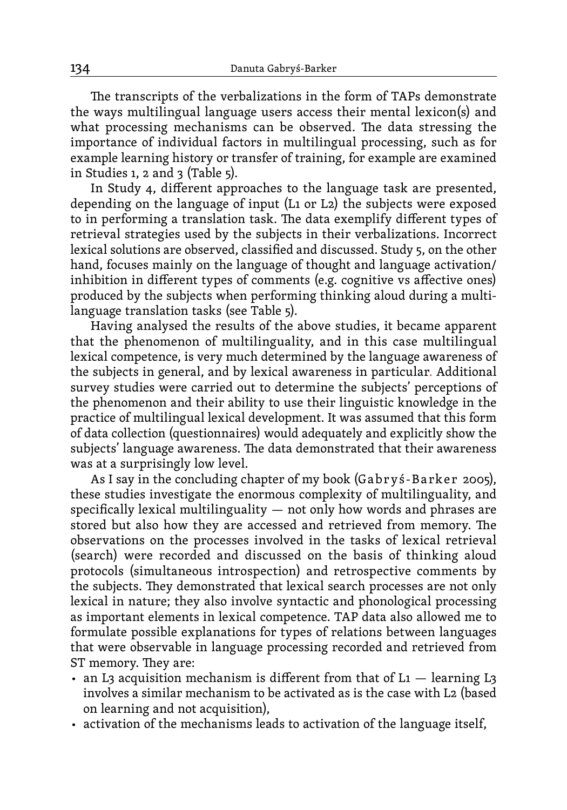The transcripts of the verbalizations in the form of TAPs demonstrate the ways multilingual language users access their mental lexicon(s) and what processing mechanisms can be observed. The data stressing the importance of individual factors in multilingual processing, such as for example learning history or transfer of training, for example are examined in Studies 1, 2 and 3 (Table 5).

In Study 4, different approaches to the language task are presented, depending on the language of input (L1 or L2) the subjects were exposed to in performing a translation task. The data exemplify different types of retrieval strategies used by the subjects in their verbalizations. Incorrect lexical solutions are observed, classified and discussed. Study 5, on the other hand, focuses mainly on the language of thought and language activation/ inhibition in different types of comments (e.g. cognitive vs affective ones) produced by the subjects when performing thinking aloud during a multilanguage translation tasks (see Table 5).

Having analysed the results of the above studies, it became apparent that the phenomenon of multilinguality, and in this case multilingual lexical competence, is very much determined by the language awareness of the subjects in general, and by lexical awareness in particular. Additional survey studies were carried out to determine the subjects' perceptions of the phenomenon and their ability to use their linguistic knowledge in the practice of multilingual lexical development. It was assumed that this form of data collection (questionnaires) would adequately and explicitly show the subjects' language awareness. The data demonstrated that their awareness was at a surprisingly low level.

As I say in the concluding chapter of my book (Gabryś-Barker 2005), these studies investigate the enormous complexity of multilinguality, and specifically lexical multilinguality  $-$  not only how words and phrases are stored but also how they are accessed and retrieved from memory. The observations on the processes involved in the tasks of lexical retrieval (search) were recorded and discussed on the basis of thinking aloud protocols (simultaneous introspection) and retrospective comments by the subjects. They demonstrated that lexical search processes are not only lexical in nature; they also involve syntactic and phonological processing as important elements in lexical competence. TAP data also allowed me to formulate possible explanations for types of relations between languages that were observable in language processing recorded and retrieved from ST memory. They are:

- an L3 acquisition mechanism is different from that of  $Li$  learning L3 involves a similar mechanism to be activated as is the case with L2 (based on learning and not acquisition),
- activation of the mechanisms leads to activation of the language itself,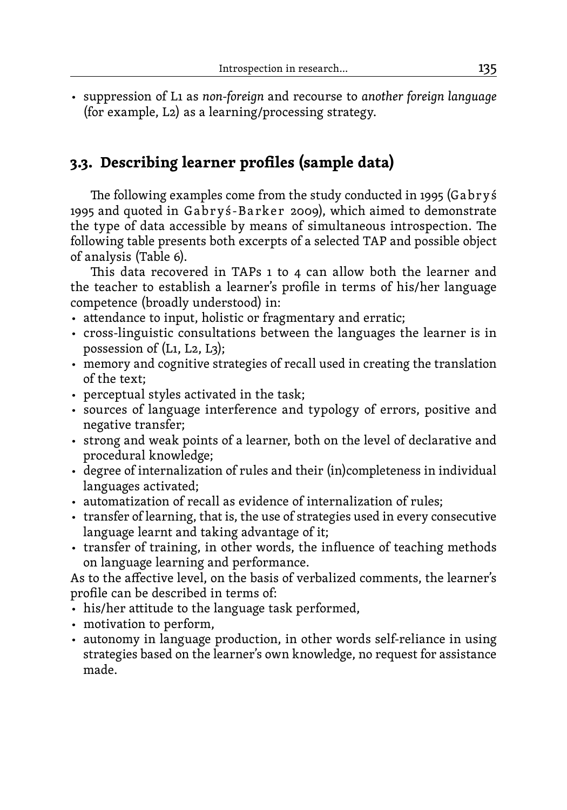• suppression of L1 as *non-foreign* and recourse to *another foreign language*  (for example, L2) as a learning/processing strategy.

## **3.3. Describing learner profiles (sample data)**

The following examples come from the study conducted in 1995 (Ga br yś 1995 and quoted in Gabryś-Barker 2009), which aimed to demonstrate the type of data accessible by means of simultaneous introspection. The following table presents both excerpts of a selected TAP and possible object of analysis (Table 6).

This data recovered in TAPs 1 to 4 can allow both the learner and the teacher to establish a learner's profile in terms of his/her language competence (broadly understood) in:

- attendance to input, holistic or fragmentary and erratic;
- cross-linguistic consultations between the languages the learner is in possession of  $(L_1, L_2, L_3)$ ;
- memory and cognitive strategies of recall used in creating the translation of the text;
- perceptual styles activated in the task;
- sources of language interference and typology of errors, positive and negative transfer;
- strong and weak points of a learner, both on the level of declarative and procedural knowledge;
- degree of internalization of rules and their (in)completeness in individual languages activated;
- automatization of recall as evidence of internalization of rules;
- transfer of learning, that is, the use of strategies used in every consecutive language learnt and taking advantage of it;
- transfer of training, in other words, the influence of teaching methods on language learning and performance.

As to the affective level, on the basis of verbalized comments, the learner's profile can be described in terms of:

- his/her attitude to the language task performed,
- motivation to perform,
- autonomy in language production, in other words self-reliance in using strategies based on the learner's own knowledge, no request for assistance made.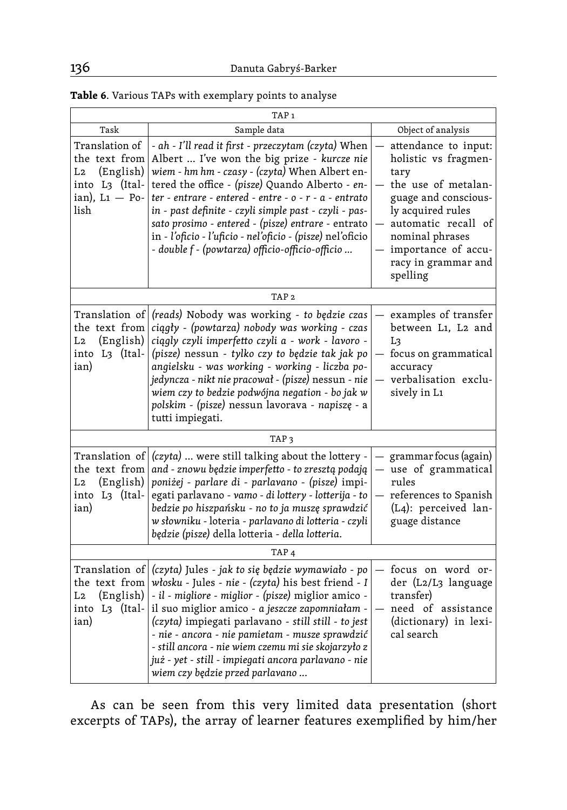|                                                                                                                                                                                                                                                                                                                                                                                                                                                                | TAP <sub>1</sub>                                                                                                                                                                                                                                                                                                                                                                                                                                                                                         |                                                                                                                                                                                                                              |  |  |  |
|----------------------------------------------------------------------------------------------------------------------------------------------------------------------------------------------------------------------------------------------------------------------------------------------------------------------------------------------------------------------------------------------------------------------------------------------------------------|----------------------------------------------------------------------------------------------------------------------------------------------------------------------------------------------------------------------------------------------------------------------------------------------------------------------------------------------------------------------------------------------------------------------------------------------------------------------------------------------------------|------------------------------------------------------------------------------------------------------------------------------------------------------------------------------------------------------------------------------|--|--|--|
| Task                                                                                                                                                                                                                                                                                                                                                                                                                                                           | Sample data                                                                                                                                                                                                                                                                                                                                                                                                                                                                                              | Object of analysis                                                                                                                                                                                                           |  |  |  |
| Translation of<br>the text from<br>(English)<br>L2<br>into L3 (Ital-<br>$ian)$ , L1 - Po-<br>lish                                                                                                                                                                                                                                                                                                                                                              | - ah - I'll read it first - przeczytam (czyta) When<br>Albert  I've won the big prize - kurcze nie<br>wiem - hm hm - czasy - (czyta) When Albert en-<br>tered the office - (pisze) Quando Alberto - en-<br>$ter$ - entrare - entered - entre - $o$ - $r$ - $a$ - entrato<br>in - past definite - czyli simple past - czyli - pas-<br>sato prosimo - entered - (pisze) entrare - entrato<br>in - l'oficio - l'uficio - nel'oficio - (pisze) nel'oficio<br>- double f - (powtarza) officio-officio-officio | attendance to input:<br>holistic vs fragmen-<br>tary<br>the use of metalan-<br>guage and conscious-<br>ly acquired rules<br>automatic recall of<br>nominal phrases<br>importance of accu-<br>racy in grammar and<br>spelling |  |  |  |
|                                                                                                                                                                                                                                                                                                                                                                                                                                                                | TAP <sub>2</sub>                                                                                                                                                                                                                                                                                                                                                                                                                                                                                         |                                                                                                                                                                                                                              |  |  |  |
| the text from<br>(English)<br>L2<br>into L3 (Ital-<br>ian)                                                                                                                                                                                                                                                                                                                                                                                                     | Translation of (reads) Nobody was working - to będzie czas<br>ciągły - (powtarza) nobody was working - czas<br>ciągly czyli imperfetto czyli a - work - lavoro -<br>(pisze) nessun - tylko czy to będzie tak jak po<br>angielsku - was working - working - liczba po-<br>jedyncza - nikt nie pracował - (pisze) nessun - nie<br>wiem czy to bedzie podwójna negation - bo jak w<br>polskim - (pisze) nessun lavorava - napiszę - a<br>tutti impiegati.                                                   | examples of transfer<br>between L1, L2 and<br>Lз<br>focus on grammatical<br>accuracy<br>verbalisation exclu-<br>sively in L1                                                                                                 |  |  |  |
|                                                                                                                                                                                                                                                                                                                                                                                                                                                                | TAP <sub>3</sub>                                                                                                                                                                                                                                                                                                                                                                                                                                                                                         |                                                                                                                                                                                                                              |  |  |  |
| Translation of<br>(czyta)  were still talking about the lottery -<br>and - znowu będzie imperfetto - to zresztą podają<br>the text from<br>poniżej - parlare di - parlavano - (pisze) impi-<br>(English)<br>L2<br>egati parlavano - vamo - di lottery - lotterija - to<br>into L3 (Ital-<br>bedzie po hiszpańsku - no to ja muszę sprawdzić<br>ian)<br>w słowniku - loteria - parlavano di lotteria - czyli<br>będzie (pisze) della lotteria - della lotteria. |                                                                                                                                                                                                                                                                                                                                                                                                                                                                                                          | grammar focus (again)<br>use of grammatical<br>rules<br>references to Spanish<br>(L4): perceived lan-<br>guage distance                                                                                                      |  |  |  |
| TAP <sub>4</sub>                                                                                                                                                                                                                                                                                                                                                                                                                                               |                                                                                                                                                                                                                                                                                                                                                                                                                                                                                                          |                                                                                                                                                                                                                              |  |  |  |
| Translation of<br>the text from<br>(English)<br>L2<br>into L3 (Ital-<br>ian)                                                                                                                                                                                                                                                                                                                                                                                   | (czyta) Jules - jak to się będzie wymawiało - po<br>włosku - Jules - nie - (czyta) his best friend - I<br>- il - migliore - miglior - (pisze) miglior amico -<br>il suo miglior amico - a jeszcze zapomniałam -<br>(czyta) impiegati parlavano - still still - to jest<br>- nie - ancora - nie pamietam - musze sprawdzić<br>- still ancora - nie wiem czemu mi sie skojarzyło z<br>już - yet - still - impiegati ancora parlavano - nie<br>wiem czy będzie przed parlavano                              | focus on word or-<br>der (L2/L3 language<br>transfer)<br>need of assistance<br>(dictionary) in lexi-<br>cal search                                                                                                           |  |  |  |

| Table 6. Various TAPs with exemplary points to analyse |  |  |  |  |  |  |  |  |
|--------------------------------------------------------|--|--|--|--|--|--|--|--|
|--------------------------------------------------------|--|--|--|--|--|--|--|--|

As can be seen from this very limited data presentation (short excerpts of TAPs), the array of learner features exemplified by him/her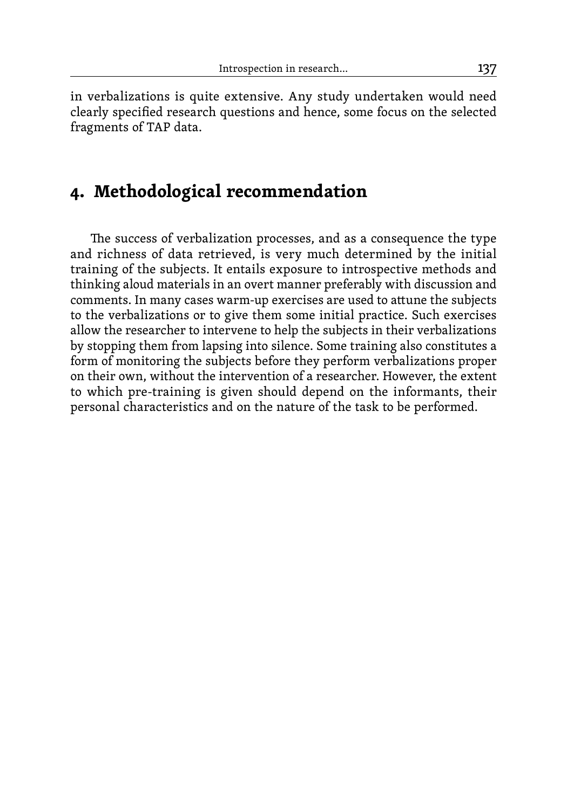in verbalizations is quite extensive. Any study undertaken would need clearly specified research questions and hence, some focus on the selected fragments of TAP data.

# **4. Methodological recommendation**

The success of verbalization processes, and as a consequence the type and richness of data retrieved, is very much determined by the initial training of the subjects. It entails exposure to introspective methods and thinking aloud materials in an overt manner preferably with discussion and comments. In many cases warm-up exercises are used to attune the subjects to the verbalizations or to give them some initial practice. Such exercises allow the researcher to intervene to help the subjects in their verbalizations by stopping them from lapsing into silence. Some training also constitutes a form of monitoring the subjects before they perform verbalizations proper on their own, without the intervention of a researcher. However, the extent to which pre-training is given should depend on the informants, their personal characteristics and on the nature of the task to be performed.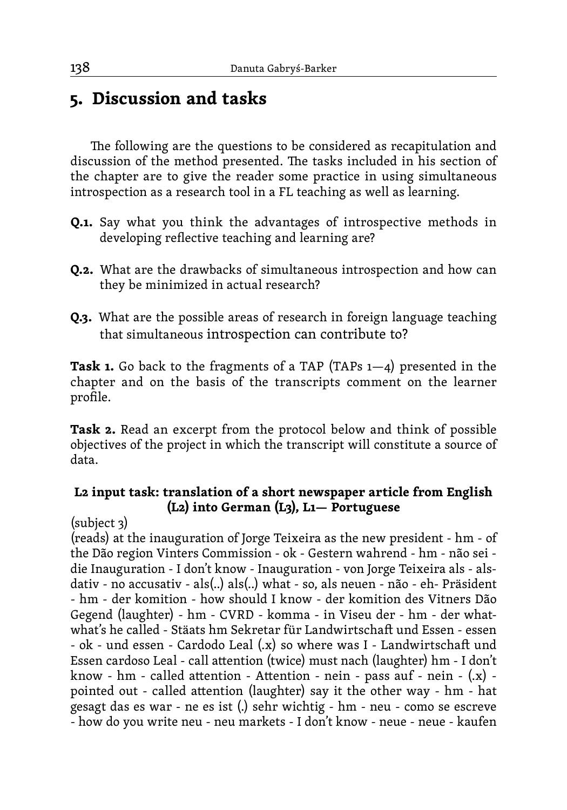# **5. Discussion and tasks**

The following are the questions to be considered as recapitulation and discussion of the method presented. The tasks included in his section of the chapter are to give the reader some practice in using simultaneous introspection as a research tool in a FL teaching as well as learning.

- **Q.1.** Say what you think the advantages of introspective methods in developing reflective teaching and learning are?
- **Q.2.** What are the drawbacks of simultaneous introspection and how can they be minimized in actual research?
- **Q.3.** What are the possible areas of research in foreign language teaching that simultaneous introspection can contribute to?

**Task 1.** Go back to the fragments of a TAP (TAPs 1—4) presented in the chapter and on the basis of the transcripts comment on the learner profile.

**Task 2.** Read an excerpt from the protocol below and think of possible objectives of the project in which the transcript will constitute a source of data.

#### **L2 input task: translation of a short newspaper article from English (L2) into German (L3), L1— Portuguese**

(subject 3)

(reads) at the inauguration of Jorge Teixeira as the new president - hm - of the Dão region Vinters Commission - ok - Gestern wahrend - hm - não sei die Inauguration - I don't know - Inauguration - von Jorge Teixeira als - alsdativ - no accusativ - als(..) als(..) what - so, als neuen - não - eh- Präsident - hm - der komition - how should I know - der komition des Vitners Dão Gegend (laughter) - hm - CVRD - komma - in Viseu der - hm - der whatwhat's he called - Stäats hm Sekretar für Landwirtschaft und Essen - essen - ok - und essen - Cardodo Leal (.x) so where was I - Landwirtschaft und Essen cardoso Leal - call attention (twice) must nach (laughter) hm - I don't know - hm - called attention - Attention - nein - pass auf - nein -  $(x)$  pointed out - called attention (laughter) say it the other way - hm - hat gesagt das es war - ne es ist (.) sehr wichtig - hm - neu - como se escreve - how do you write neu - neu markets - I don't know - neue - neue - kaufen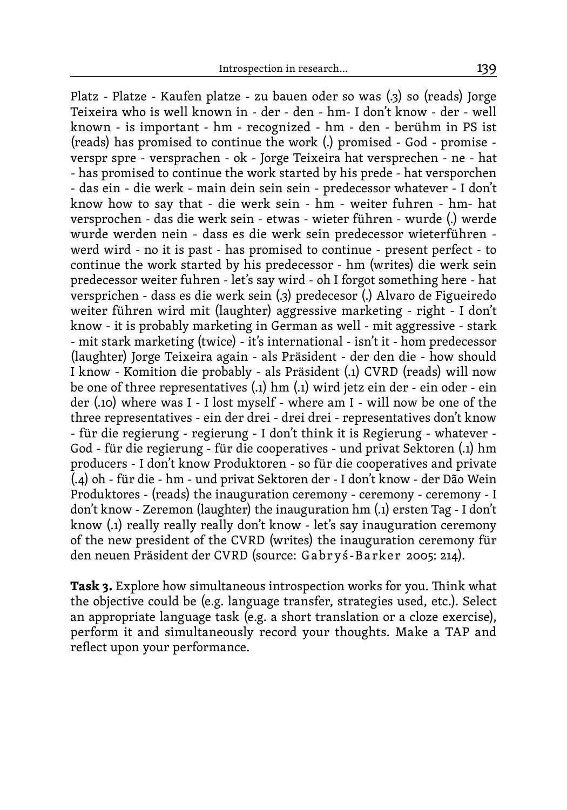Platz - Platze - Kaufen platze - zu bauen oder so was (.3) so (reads) Jorge Teixeira who is well known in - der - den - hm- I don't know - der - well known - is important - hm - recognized - hm - den - berühm in PS ist (reads) has promised to continue the work (.) promised - God - promise verspr spre - versprachen - ok - Jorge Teixeira hat versprechen - ne - hat - has promised to continue the work started by his prede - hat versporchen - das ein - die werk - main dein sein sein - predecessor whatever - I don't know how to say that - die werk sein - hm - weiter fuhren - hm- hat versprochen - das die werk sein - etwas - wieter führen - wurde (.) werde wurde werden nein - dass es die werk sein predecessor wieterführen werd wird - no it is past - has promised to continue - present perfect - to continue the work started by his predecessor - hm (writes) die werk sein predecessor weiter fuhren - let's say wird - oh I forgot something here - hat versprichen - dass es die werk sein (.3) predecesor (.) Alvaro de Figueiredo weiter führen wird mit (laughter) aggressive marketing - right - I don't know - it is probably marketing in German as well - mit aggressive - stark - mit stark marketing (twice) - it's international - isn't it - hom predecessor (laughter) Jorge Teixeira again - als Präsident - der den die - how should I know - Komition die probably - als Präsident (.1) CVRD (reads) will now be one of three representatives (.1) hm (.1) wird jetz ein der - ein oder - ein der (.10) where was I - I lost myself - where am I - will now be one of the three representatives - ein der drei - drei drei - representatives don't know - für die regierung - regierung - I don't think it is Regierung - whatever - God - für die regierung - für die cooperatives - und privat Sektoren (.1) hm producers - I don't know Produktoren - so für die cooperatives and private (.4) oh - für die - hm - und privat Sektoren der - I don't know - der Dão Wein Produktores - (reads) the inauguration ceremony - ceremony - ceremony - I don't know - Zeremon (laughter) the inauguration hm (.1) ersten Tag - I don't know (.1) really really really don't know - let's say inauguration ceremony of the new president of the CVRD (writes) the inauguration ceremony für den neuen Präsident der CVRD (source: Gabryś-Barker 2005: 214).

**Task 3.** Explore how simultaneous introspection works for you. Think what the objective could be (e.g. language transfer, strategies used, etc.). Select an appropriate language task (e.g. a short translation or a cloze exercise), perform it and simultaneously record your thoughts. Make a TAP and reflect upon your performance.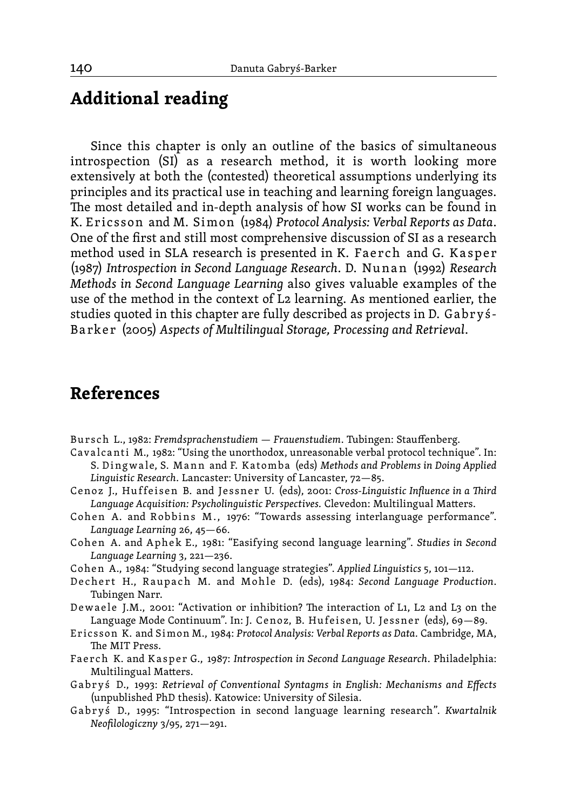## **Additional reading**

Since this chapter is only an outline of the basics of simultaneous introspection (SI) as a research method, it is worth looking more extensively at both the (contested) theoretical assumptions underlying its principles and its practical use in teaching and learning foreign languages. The most detailed and in-depth analysis of how SI works can be found in K. E r ic sson and M. Si mon (1984) *Protocol Analysis: Verbal Reports as Data*. One of the first and still most comprehensive discussion of SI as a research method used in SLA research is presented in K. Faerch and G. Kasper (1987) *Introspection in Second Language Research*. D. Nu n a n (1992) *Research Methods in Second Language Learning* also gives valuable examples of the use of the method in the context of L2 learning. As mentioned earlier, the studies quoted in this chapter are fully described as projects in D. Ga br yś-B a rke r (2005) *Aspects of Multilingual Storage, Processing and Retrieval*.

# **References**

- Bursch L., 1982: *Fremdsprachenstudiem Frauenstudiem*. Tubingen: Stauffenberg.
- Cavalcanti M., 1982: "Using the unorthodox, unreasonable verbal protocol technique". In: S. Dingwale, S. Mann and F. Katomba (eds) *Methods and Problems in Doing Applied Linguistic Research*. Lancaster: University of Lancaster, 72—85.
- Cenoz J., Huffeisen B. and Jessner U. (eds), 2001: Cross-Linquistic Influence in a Third *Language Acquisition: Psycholinguistic Perspectives.* Clevedon: Multilingual Matters.
- Cohen A. and Robbins M., 1976: "Towards assessing interlanguage performance". *Language Learning* 26, 45—66.
- Cohen A. and Aphek E., 1981: "Easifying second language learning". *Studies in Second Language Learning* 3, 221—236.
- C ohe n A., 1984: "Studying second language strategies". *Applied Linguistics* 5, 101—112.
- Dechert H., Raupach M. and Mohle D. (eds), 1984: Second Language Production. Tubingen Narr.
- Dewaele J.M., 2001: "Activation or inhibition? The interaction of L1, L2 and L3 on the Language Mode Continuum". In: J. Cenoz, B. Hufeisen, U. Jessner (eds), 69-89.
- E r ic s s on K. and Si mon M., 1984: *Protocol Analysis: Verbal Reports as Data.* Cambridge, MA, The MIT Press.
- Faerch K. and Kasper G., 1987: *Introspection in Second Language Research*. Philadelphia: Multilingual Matters.
- Gabryś D., 1993: *Retrieval of Conventional Syntagms in English: Mechanisms and Effects* (unpublished PhD thesis). Katowice: University of Silesia.
- Gabryś D., 1995: "Introspection in second language learning research". *Kwartalnik Neofilologiczny* 3/95, 271—291.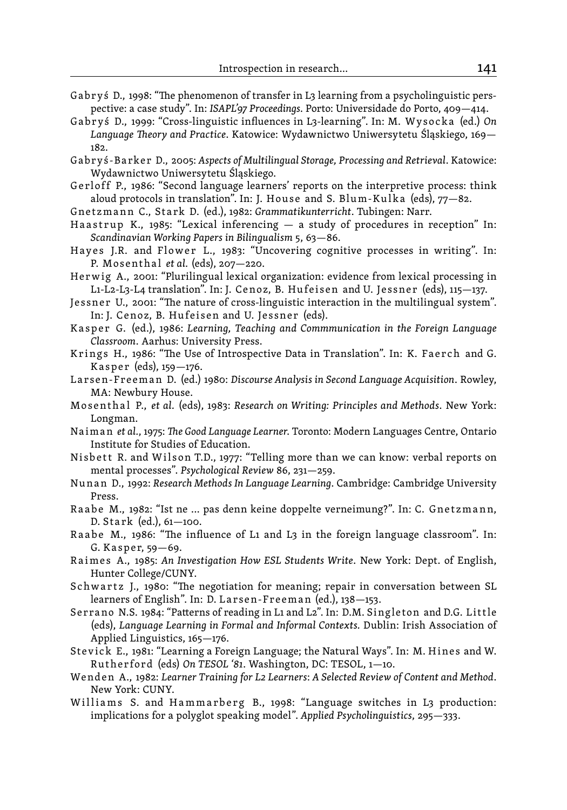- Gabryś D., 1998: "The phenomenon of transfer in L3 learning from a psycholinguistic perspective: a case study". In: *ISAPL'97 Proceedings*. Porto: Universidade do Porto, 409—414.
- Gabryś D., 1999: "Cross-linguistic influences in L3-learning". In: M. Wysocka (ed.) On *Language Theory and Practice*. Katowice: Wydawnictwo Uniwersytetu Śląskiego, 169— 182.
- G a br y ś-B a rk e r D., 2005: *Aspects of Multilingual Storage, Processing and Retrieval*. Katowice: Wydawnictwo Uniwersytetu Śląskiego.
- Gerloff P., 1986: "Second language learners' reports on the interpretive process: think aloud protocols in translation". In: J. House and S. Blum-Kulka (eds),  $77-82$ .
- Gne t z m a n n C., St a rk D. (ed.), 1982: *Grammatikunterricht*. Tubingen: Narr.
- Haastrup K., 1985: "Lexical inferencing  $-$  a study of procedures in reception" In: *Scandinavian Working Papers in Bilingualism* 5, 63—86.
- Hayes J.R. and Flower L., 1983: "Uncovering cognitive processes in writing". In: P. Mosenthal *et al.* (eds), 207-220.
- Herwig A., 2001: "Plurilingual lexical organization: evidence from lexical processing in L1-L2-L3-L4 translation". In: J. Cenoz, B. Hufeisen and U. Jessner (eds), 115–137.
- Jessner U., 2001: "The nature of cross-linguistic interaction in the multilingual system". In: J. Cenoz, B. Hufeisen and U. Jessner (eds).
- Kasper G. (ed.), 1986: Learning, Teaching and Commmunication in the Foreign Language *Classroom*. Aarhus: University Press.
- Krings H., 1986: "The Use of Introspective Data in Translation". In: K. Faerch and G. Kasper (eds),  $159 - 176$ .
- Larsen-Freeman D. (ed.) 1980: *Discourse Analysis in Second Language Acquisition*. Rowley, MA: Newbury House.
- M o s e nt h a l P., *et al.* (eds), 1983: *Research on Writing: Principles and Methods*. New York: Longman.
- Naiman *et al.*, 1975: *The Good Language Learner*. Toronto: Modern Languages Centre, Ontario Institute for Studies of Education.
- Nisbett R. and Wilson T.D., 1977: "Telling more than we can know: verbal reports on mental processes". *Psychological Review* 86, 231—259.
- Nu n a n D., 1992: *Research Methods In Language Learning*. Cambridge: Cambridge University Press.
- Raabe M., 1982: "Ist ne ... pas denn keine doppelte verneimung?". In: C. Gnetzmann, D. Stark  $(ed.), 61–100.$
- Raabe M., 1986: "The influence of L1 and L3 in the foreign language classroom". In: G. Kasper, 59-69.
- Raimes A., 1985: *An Investigation How ESL Students Write*. New York: Dept. of English, Hunter College/CUNY.
- Schwartz J., 1980: "The negotiation for meaning; repair in conversation between SL learners of English". In: D. Larsen-Freeman (ed.), 138-153.
- Serrano N.S. 1984: "Patterns of reading in L1 and L2". In: D.M. Singleton and D.G. Little (eds), *Language Learning in Formal and Informal Contexts.* Dublin: Irish Association of Applied Linguistics, 165—176.
- Stevick E., 1981: "Learning a Foreign Language; the Natural Ways". In: M. Hines and W. R ut he r for d (eds) *On TESOL '81*. Washington, DC: TESOL, 1—10.
- Wenden A., 1982: Learner Training for L2 Learners: A Selected Review of Content and Method. New York: CUNY.
- Williams S. and Hammarberg B., 1998: "Language switches in L3 production: implications for a polyglot speaking model". *Applied Psycholinguistics*, 295—333.